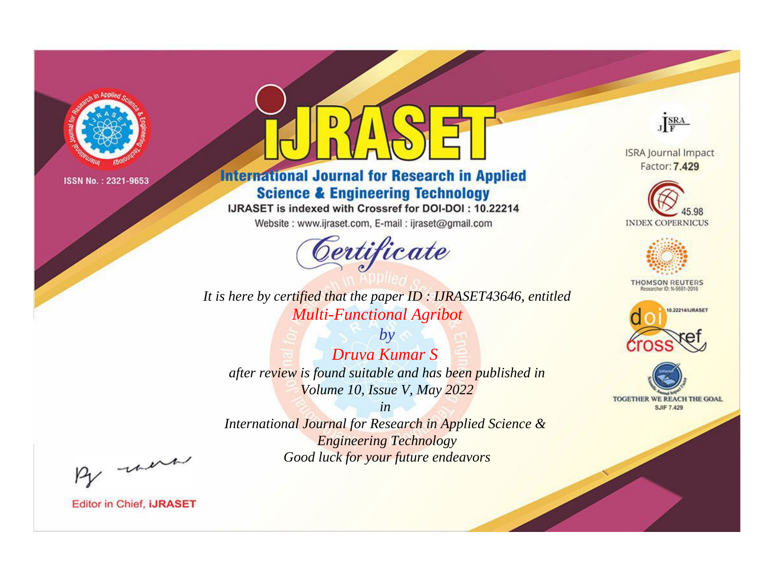

# **International Journal for Research in Applied Science & Engineering Technology**

IJRASET is indexed with Crossref for DOI-DOI: 10.22214

Website: www.ijraset.com, E-mail: ijraset@gmail.com



*It is here by certified that the paper ID : IJRASET43646, entitled Multi-Functional Agribot*

*by Druva Kumar S after review is found suitable and has been published in Volume 10, Issue V, May 2022*

*in* 

*International Journal for Research in Applied Science & Engineering Technology Good luck for your future endeavors*



**ISRA Journal Impact** Factor: 7.429





**THOMSON REUTERS** 





By morn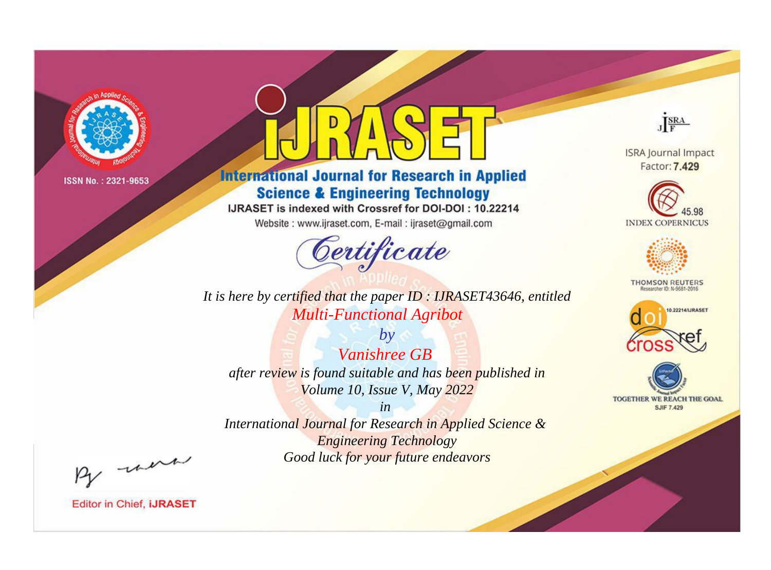

# **International Journal for Research in Applied Science & Engineering Technology**

IJRASET is indexed with Crossref for DOI-DOI: 10.22214

Website: www.ijraset.com, E-mail: ijraset@gmail.com



It is here by certified that the paper ID: IJRASET43646, entitled **Multi-Functional Agribot** 

 $b\nu$ **Vanishree GB** after review is found suitable and has been published in Volume 10, Issue V, May 2022

 $in$ International Journal for Research in Applied Science & **Engineering Technology** Good luck for your future endeavors



**ISRA Journal Impact** Factor: 7.429





**THOMSON REUTERS** 



TOGETHER WE REACH THE GOAL **SJIF 7.429** 

By morn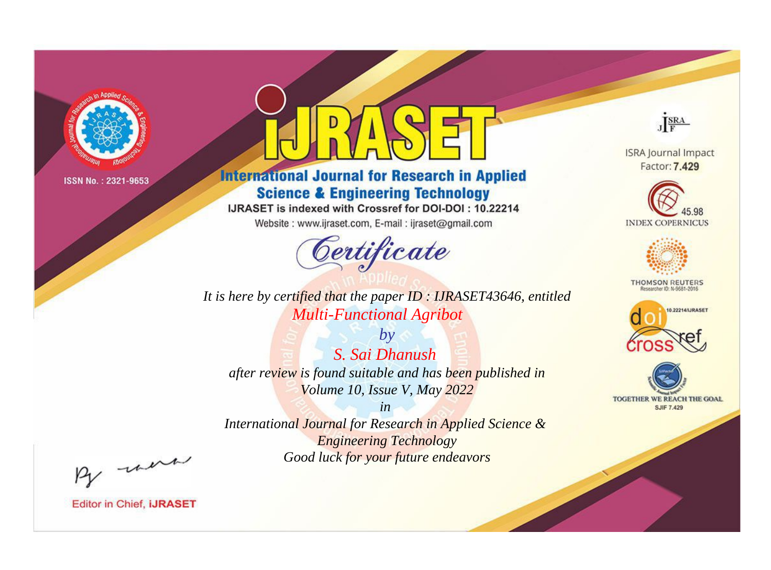

# **International Journal for Research in Applied Science & Engineering Technology**

IJRASET is indexed with Crossref for DOI-DOI: 10.22214

Website: www.ijraset.com, E-mail: ijraset@gmail.com



It is here by certified that the paper ID: IJRASET43646, entitled **Multi-Functional Agribot** 

 $by$ S. Sai Dhanush after review is found suitable and has been published in Volume 10, Issue V, May 2022

 $in$ International Journal for Research in Applied Science & **Engineering Technology** Good luck for your future endeavors



**ISRA Journal Impact** Factor: 7.429





**THOMSON REUTERS** 



TOGETHER WE REACH THE GOAL **SJIF 7.429** 

By morn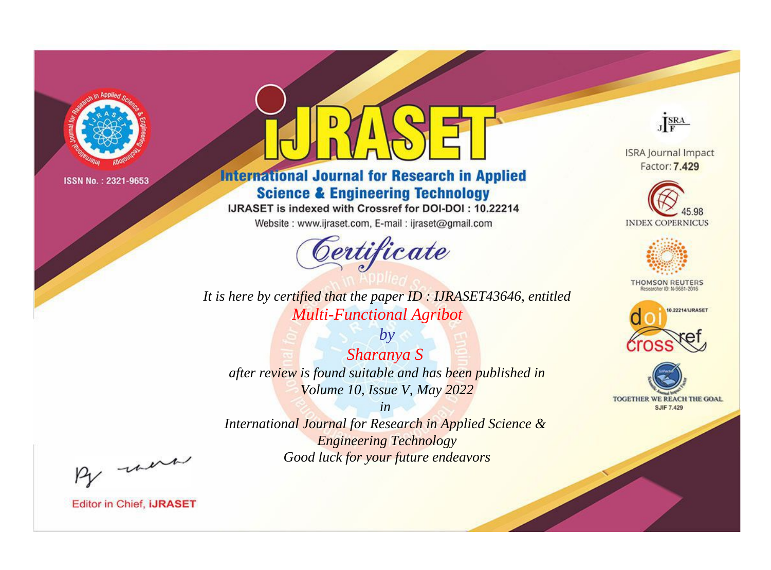

# **International Journal for Research in Applied Science & Engineering Technology**

IJRASET is indexed with Crossref for DOI-DOI: 10.22214

Website: www.ijraset.com, E-mail: ijraset@gmail.com



*It is here by certified that the paper ID : IJRASET43646, entitled Multi-Functional Agribot*

*by Sharanya S after review is found suitable and has been published in Volume 10, Issue V, May 2022*

*in International Journal for Research in Applied Science & Engineering Technology Good luck for your future endeavors*



**ISRA Journal Impact** Factor: 7.429





**THOMSON REUTERS** 





By morn